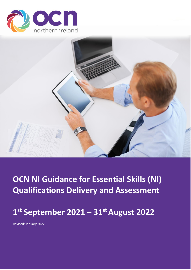



**OCN NI Guidance for Essential Skills (NI) Qualifications Delivery and Assessment**

# **1 st September 2021 – 31st August 2022**

Revised: January 2022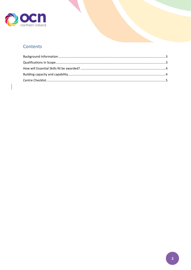

## Contents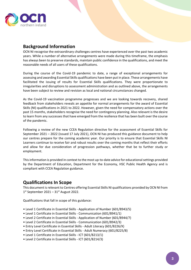

### <span id="page-2-0"></span>**Background Information**

OCN NI recognise the extraordinary challenges centres have experienced over the past two academic years. While a number of alternative arrangements were made during this timeframe, the emphasis has always been to preserve standards, maintain public confidence in the qualifications, and meet the reasonable needs of all users of these qualifications.

During the course of the Covid-19 pandemic to date, a range of exceptional arrangements for assessing and awarding Essential Skills qualifications have been put in place. These arrangements have facilitated the issuing of results for Essential Skills qualifications. They were proportionate to irregularities and disruptions to assessment administration and as outlined above, the arrangements have been subject to review and revision as local and national circumstances changed.

As the Covid-19 vaccination programme progresses and we are looking towards recovery, shared feedback from stakeholders reveals an appetite for normal arrangements for the award of Essential Skills (NI) qualifications in 2021 to 2022. However, given the need for compensatory actions over the past 15 months, stakeholders recognise the need for contingency planning. Also relevant is the desire to learn from any successes that have emerged from the resilience that has been built over the course of the pandemic.

Following a review of the new CCEA Regulation directive for the assessment of Essential Skills for September 2021 – 2022 (issued 17 July 2021), OCN NI has produced this guidance document to help our centres prepare for the coming academic year. Our priority is to ensure that Essential Skills NI Learners continue to receive fair and robust results over the coming months that reflect their efforts and allow for due consideration of progression pathways, whether that be to further study or employment.

Thisinformation is provided in context to the most up-to-date advice for educational settings provided by the Department of Education, Department for the Economy, HSC Public Health Agency and is compliant with CCEA Regulation guidance.

### <span id="page-2-1"></span>**Qualifications In Scope**

This document is relevant to Centres offering Essential Skills NI qualifications provided by OCN NI from  $1<sup>st</sup>$  September 2021 – 31<sup>st</sup> August 2022.

Qualifications that fall in scope of this guidance:

- Level 1 Certificate in Essential Skills Application of Number (601/8943/5)
- Level 1 Certificate in Essential Skills Communication (601/8941/1)
- Level 2 Certificate in Essential Skills Application of Number (601/8944/7)
- Level 2 Certificate in Essential Skills Communication (601/8942/3)
- Entry Level Certificate in Essential Skills Adult Literacy (601/8226/X)
- Entry Level Certificate in Essential Skills Adult Numeracy (601/8225/8)
- Level 1 Certificate in Essential Skills ICT (601/8213/1)
- Level 2 Certificate in Essential Skills ICT (601/8214/3)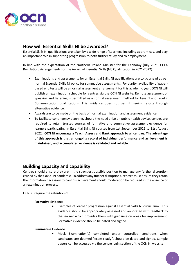

#### <span id="page-3-0"></span>**How will Essential Skills NI be awarded?**

Essential Skills NI qualifications are taken by a wide range of Learners, including apprentices, and play an important role in supporting progression to both further study and to employment.

In line with the expectation of the Northern Ireland Minister for the Economy (July 2021, CCEA Regulation, Arrangements for the Award of Essential Skills (NI) Qualification in 2021-2022):

- Examinations and assessments for all Essential Skills NI qualifications are to go ahead as per normal Essential Skills NI policy for summative assessments. For clarity, availability of paperbased end tests will be a normal assessment arrangement for this academic year. OCN NI will publish an examination schedule for centres via the OCN NI website. Remote assessment of Speaking and Listening is permitted as a normal assessment method for Level 1 and Level 2 Communication qualifications. This guidance does not permit issuing results through alternative evidence.
- Awards are to be made on the basis of normal examination and assessment evidence.
- To facilitate contingency planning, should the need arise on public health advise, centres are required to retain trusted sources of formative and summative assessment evidence for learners participating in Essential Skills NI courses from 1st September 2021 to 31st August 2022. **OCN NI encourage a Teach, Assess and Bank approach to all centres. The advantage of this approach is that an ongoing record of individual performance and achievement is maintained, and accumulated evidence is validated and reliable.**

#### <span id="page-3-1"></span>**Building capacity and capability**

Centres should ensure they are in the strongest possible position to manage any further disruption caused by the Covid-19 pandemic. To address any further disruptions, centres must ensure they retain the information necessary to confirm achievement should moderation be required in the absence of an examination process.

OCN NI require the retention of:

#### **Formative Evidence**

• Examples of learner progression against Essential Skills NI curriculum. This evidence should be appropriately assessed and annotated with feedback to the learner which provides them with guidance on areas for improvement. Formative evidence should be dated and signed.

#### **Summative Evidence**

• Mock Examination(s) completed under controlled conditions when candidates are deemed "exam ready", should be dated and signed. Sample papers can be accessed via the centre login section of the OCN NI website.